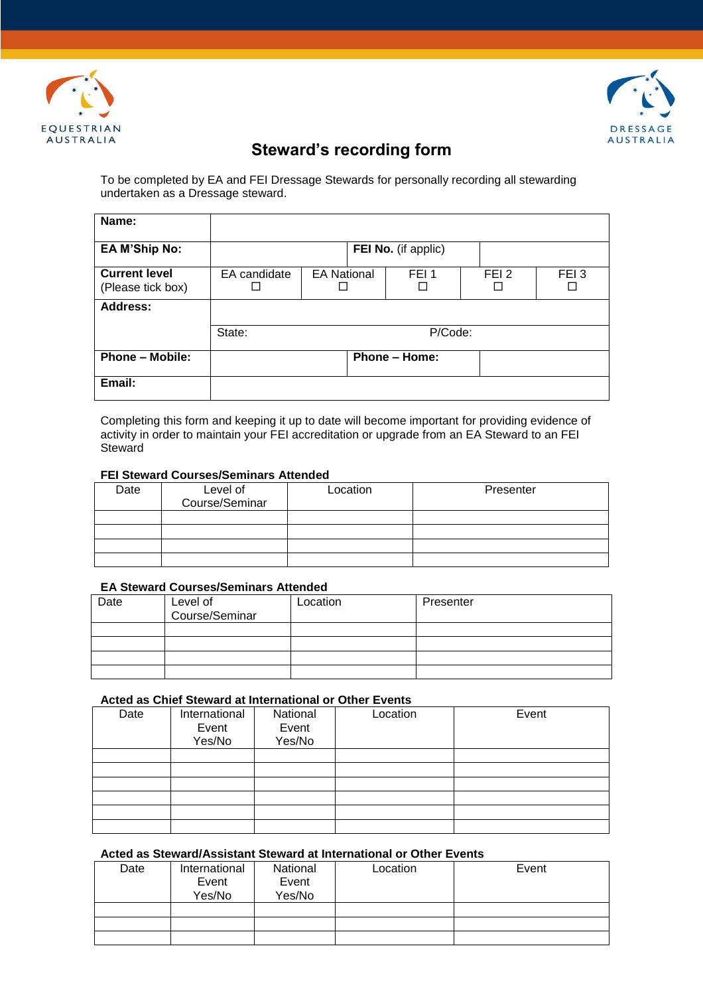



# **Steward's recording form**

To be completed by EA and FEI Dressage Stewards for personally recording all stewarding undertaken as a Dressage steward.

| Name:                                     |              |                    |                      |                  |                  |
|-------------------------------------------|--------------|--------------------|----------------------|------------------|------------------|
| <b>EA M'Ship No:</b>                      |              |                    | FEI No. (if applic)  |                  |                  |
| <b>Current level</b><br>(Please tick box) | EA candidate | <b>EA National</b> | FEI <sub>1</sub>     | FEI <sub>2</sub> | FEI <sub>3</sub> |
| <b>Address:</b>                           |              |                    |                      |                  |                  |
|                                           | State:       |                    | P/Code:              |                  |                  |
| <b>Phone - Mobile:</b>                    |              |                    | <b>Phone - Home:</b> |                  |                  |
| Email:                                    |              |                    |                      |                  |                  |

Completing this form and keeping it up to date will become important for providing evidence of activity in order to maintain your FEI accreditation or upgrade from an EA Steward to an FEI Steward

### **FEI Steward Courses/Seminars Attended**

| Date | Level of<br>Course/Seminar | Location | Presenter |
|------|----------------------------|----------|-----------|
|      |                            |          |           |
|      |                            |          |           |
|      |                            |          |           |
|      |                            |          |           |

# **EA Steward Courses/Seminars Attended**

| Date | Level of<br>Course/Seminar | Location | Presenter |
|------|----------------------------|----------|-----------|
|      |                            |          |           |
|      |                            |          |           |
|      |                            |          |           |
|      |                            |          |           |

#### **Acted as Chief Steward at International or Other Events**

| Date | International<br>Event<br>Yes/No | National<br>Event<br>Yes/No | Location | Event |
|------|----------------------------------|-----------------------------|----------|-------|
|      |                                  |                             |          |       |
|      |                                  |                             |          |       |
|      |                                  |                             |          |       |
|      |                                  |                             |          |       |
|      |                                  |                             |          |       |
|      |                                  |                             |          |       |

#### **Acted as Steward/Assistant Steward at International or Other Events**

| Date | International<br>Event | National<br>Event | Location | Event |
|------|------------------------|-------------------|----------|-------|
|      | Yes/No                 | Yes/No            |          |       |
|      |                        |                   |          |       |
|      |                        |                   |          |       |
|      |                        |                   |          |       |